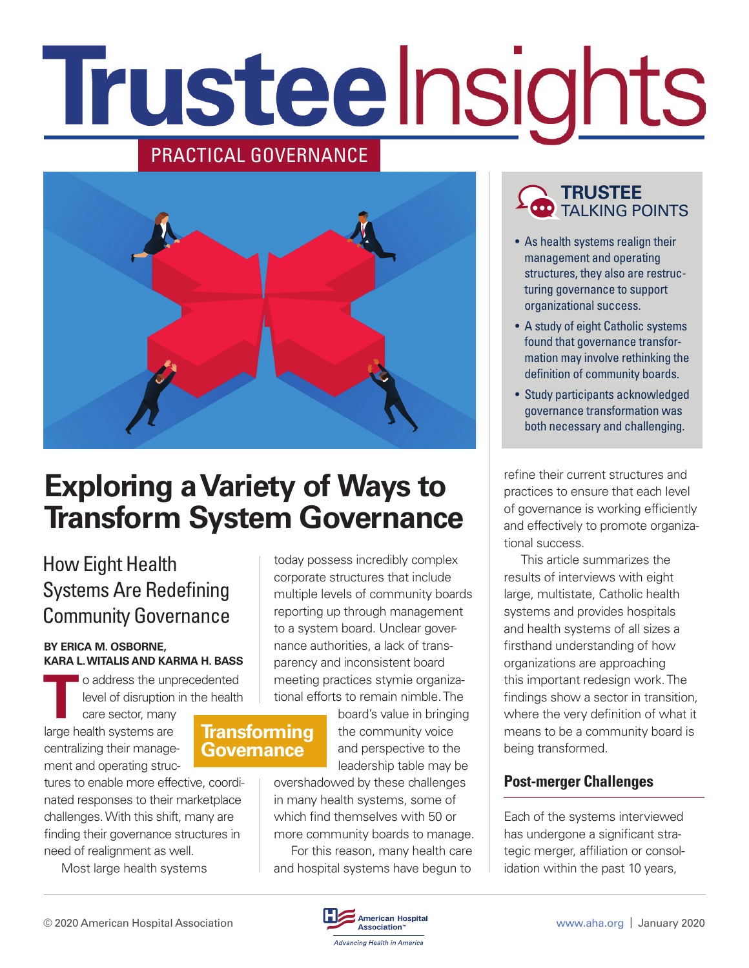# Trusteelnsights

# PRACTICAL GOVERNANCE



# **Exploring a Variety of Ways to Transform System Governance**

**Transforming Governance**

# How Eight Health Systems Are Redefining Community Governance

#### **BY ERICA M. OSBORNE, KARA L. WITALIS AND KARMA H. BASS**

**T**o address the unprecedented level of disruption in the health

care sector, many large health systems are centralizing their management and operating struc-

tures to enable more effective, coordinated responses to their marketplace challenges. With this shift, many are finding their governance structures in need of realignment as well.

Most large health systems

today possess incredibly complex corporate structures that include multiple levels of community boards reporting up through management to a system board. Unclear governance authorities, a lack of transparency and inconsistent board meeting practices stymie organizational efforts to remain nimble. The

> board's value in bringing the community voice and perspective to the leadership table may be

overshadowed by these challenges in many health systems, some of which find themselves with 50 or more community boards to manage.

For this reason, many health care and hospital systems have begun to

## **TRUSTEE** TALKING POINTS

- As health systems realign their management and operating structures, they also are restructuring governance to support organizational success.
- A study of eight Catholic systems found that governance transformation may involve rethinking the definition of community boards.
- Study participants acknowledged governance transformation was both necessary and challenging.

refine their current structures and practices to ensure that each level of governance is working efficiently and effectively to promote organizational success.

This article summarizes the results of interviews with eight large, multistate, Catholic health systems and provides hospitals and health systems of all sizes a firsthand understanding of how organizations are approaching this important redesign work. The findings show a sector in transition, where the very definition of what it means to be a community board is being transformed.

## **Post-merger Challenges**

Each of the systems interviewed has undergone a significant strategic merger, affiliation or consolidation within the past 10 years,

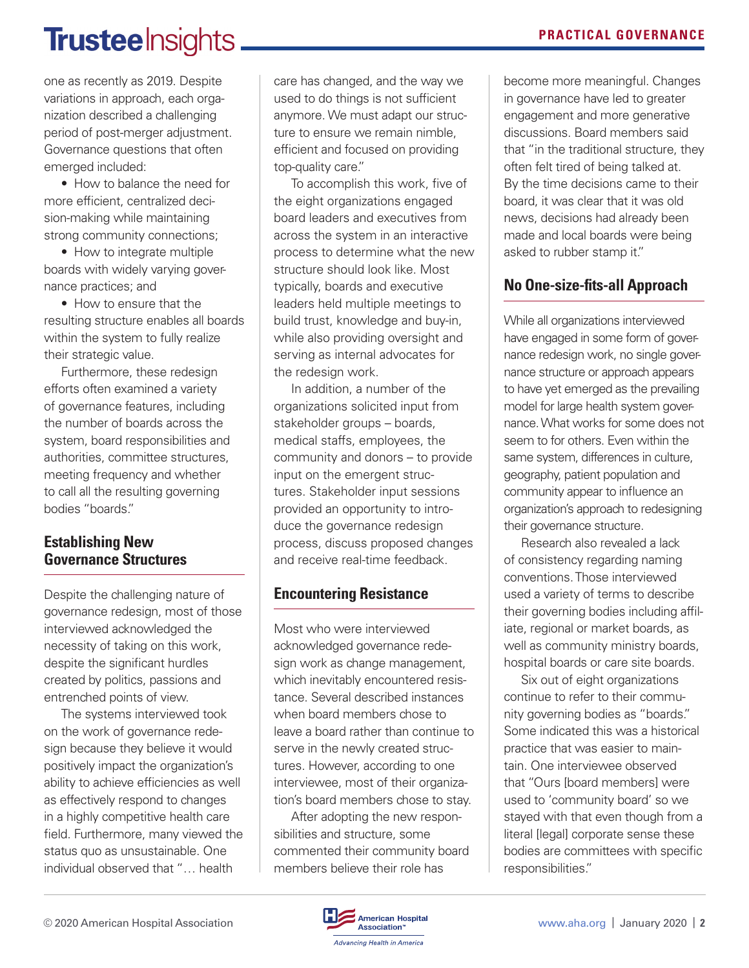# Trusteelnsights.

one as recently as 2019. Despite variations in approach, each organization described a challenging period of post-merger adjustment. Governance questions that often emerged included:

• How to balance the need for more efficient, centralized decision-making while maintaining strong community connections;

• How to integrate multiple boards with widely varying governance practices; and

• How to ensure that the resulting structure enables all boards within the system to fully realize their strategic value.

Furthermore, these redesign efforts often examined a variety of governance features, including the number of boards across the system, board responsibilities and authorities, committee structures, meeting frequency and whether to call all the resulting governing bodies "boards."

#### **Establishing New Governance Structures**

Despite the challenging nature of governance redesign, most of those interviewed acknowledged the necessity of taking on this work, despite the significant hurdles created by politics, passions and entrenched points of view.

The systems interviewed took on the work of governance redesign because they believe it would positively impact the organization's ability to achieve efficiencies as well as effectively respond to changes in a highly competitive health care field. Furthermore, many viewed the status quo as unsustainable. One individual observed that "… health

care has changed, and the way we used to do things is not sufficient anymore. We must adapt our structure to ensure we remain nimble, efficient and focused on providing top-quality care."

To accomplish this work, five of the eight organizations engaged board leaders and executives from across the system in an interactive process to determine what the new structure should look like. Most typically, boards and executive leaders held multiple meetings to build trust, knowledge and buy-in, while also providing oversight and serving as internal advocates for the redesign work.

In addition, a number of the organizations solicited input from stakeholder groups – boards, medical staffs, employees, the community and donors – to provide input on the emergent structures. Stakeholder input sessions provided an opportunity to introduce the governance redesign process, discuss proposed changes and receive real-time feedback.

## **Encountering Resistance**

Most who were interviewed acknowledged governance redesign work as change management, which inevitably encountered resistance. Several described instances when board members chose to leave a board rather than continue to serve in the newly created structures. However, according to one interviewee, most of their organization's board members chose to stay.

After adopting the new responsibilities and structure, some commented their community board members believe their role has

become more meaningful. Changes in governance have led to greater engagement and more generative discussions. Board members said that "in the traditional structure, they often felt tired of being talked at. By the time decisions came to their board, it was clear that it was old news, decisions had already been made and local boards were being asked to rubber stamp it."

## **No One-size-fits-all Approach**

While all organizations interviewed have engaged in some form of governance redesign work, no single governance structure or approach appears to have yet emerged as the prevailing model for large health system governance. What works for some does not seem to for others. Even within the same system, differences in culture, geography, patient population and community appear to influence an organization's approach to redesigning their governance structure.

Research also revealed a lack of consistency regarding naming conventions. Those interviewed used a variety of terms to describe their governing bodies including affiliate, regional or market boards, as well as community ministry boards, hospital boards or care site boards.

Six out of eight organizations continue to refer to their community governing bodies as "boards." Some indicated this was a historical practice that was easier to maintain. One interviewee observed that "Ours [board members] were used to 'community board' so we stayed with that even though from a literal [legal] corporate sense these bodies are committees with specific responsibilities."

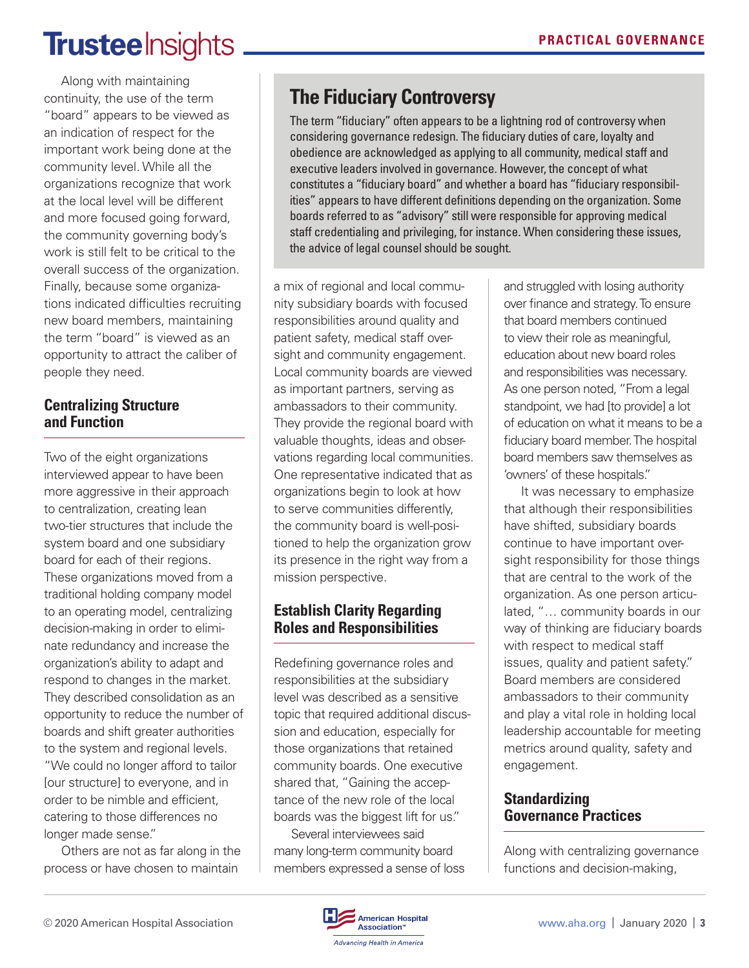# **Trustee** Insights

Along with maintaining continuity, the use of the term "board" appears to be viewed as an indication of respect for the important work being done at the community level. While all the organizations recognize that work at the local level will be different and more focused going forward, the community governing body's work is still felt to be critical to the overall success of the organization. Finally, because some organizations indicated difficulties recruiting new board members, maintaining the term "board" is viewed as an opportunity to attract the caliber of people they need.

### **Centralizing Structure and Function**

Two of the eight organizations interviewed appear to have been more aggressive in their approach to centralization, creating lean two-tier structures that include the system board and one subsidiary board for each of their regions. These organizations moved from a traditional holding company model to an operating model, centralizing decision-making in order to eliminate redundancy and increase the organization's ability to adapt and respond to changes in the market. They described consolidation as an opportunity to reduce the number of boards and shift greater authorities to the system and regional levels.

"We could no longer afford to tailor [our structure] to everyone, and in order to be nimble and efficient, catering to those differences no longer made sense."

Others are not as far along in the process or have chosen to maintain

# **The Fiduciary Controversy**

The term "fiduciary" often appears to be a lightning rod of controversy when considering governance redesign. The fiduciary duties of care, loyalty and obedience are acknowledged as applying to all community, medical staff and executive leaders involved in governance. However, the concept of what constitutes a "fiduciary board" and whether a board has "fiduciary responsibilities" appears to have different definitions depending on the organization. Some boards referred to as "advisory" still were responsible for approving medical staff credentialing and privileging, for instance. When considering these issues, the advice of legal counsel should be sought.

a mix of regional and local community subsidiary boards with focused responsibilities around quality and patient safety, medical staff oversight and community engagement. Local community boards are viewed as important partners, serving as ambassadors to their community. They provide the regional board with valuable thoughts, ideas and observations regarding local communities. One representative indicated that as organizations begin to look at how to serve communities differently, the community board is well-positioned to help the organization grow its presence in the right way from a mission perspective.

## **Establish Clarity Regarding Roles and Responsibilities**

Redefining governance roles and responsibilities at the subsidiary level was described as a sensitive topic that required additional discussion and education, especially for those organizations that retained community boards. One executive shared that, "Gaining the acceptance of the new role of the local boards was the biggest lift for us."

Several interviewees said many long-term community board members expressed a sense of loss and struggled with losing authority over finance and strategy. To ensure that board members continued to view their role as meaningful, education about new board roles and responsibilities was necessary. As one person noted, "From a legal standpoint, we had [to provide] a lot of education on what it means to be a fiduciary board member. The hospital board members saw themselves as 'owners' of these hospitals."

It was necessary to emphasize that although their responsibilities have shifted, subsidiary boards continue to have important oversight responsibility for those things that are central to the work of the organization. As one person articulated, "… community boards in our way of thinking are fiduciary boards with respect to medical staff issues, quality and patient safety." Board members are considered ambassadors to their community and play a vital role in holding local leadership accountable for meeting metrics around quality, safety and engagement.

## **Standardizing Governance Practices**

Along with centralizing governance functions and decision-making,